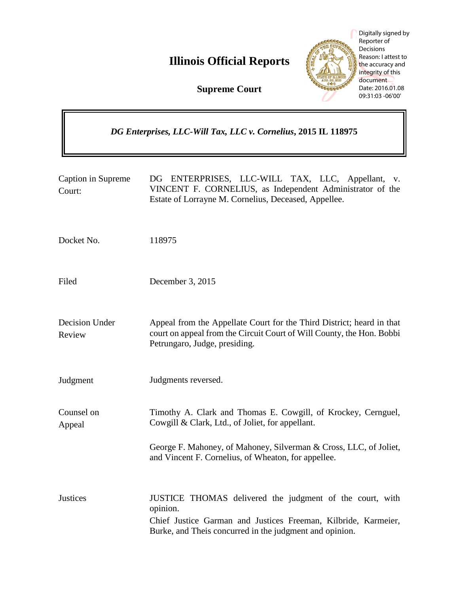**Illinois Official Reports** 



Digitally signed by Reporter of **Decisions** Reason: I attest to the accuracy and integrity of this document Date: 2016.01.08 09:31:03 -06'00'

**Supreme Court**

|                              | DG Enterprises, LLC-Will Tax, LLC v. Cornelius, 2015 IL 118975 |                                                                                                                                                                                                   |
|------------------------------|----------------------------------------------------------------|---------------------------------------------------------------------------------------------------------------------------------------------------------------------------------------------------|
| Caption in Supreme<br>Court: |                                                                | ENTERPRISES, LLC-WILL TAX, LLC, Appellant,<br>DG<br>V.<br>VINCENT F. CORNELIUS, as Independent Administrator of the<br>Estate of Lorrayne M. Cornelius, Deceased, Appellee.                       |
| Docket No.                   |                                                                | 118975                                                                                                                                                                                            |
| Filed                        |                                                                | December 3, 2015                                                                                                                                                                                  |
| Decision Under<br>Review     |                                                                | Appeal from the Appellate Court for the Third District; heard in that<br>court on appeal from the Circuit Court of Will County, the Hon. Bobbi<br>Petrungaro, Judge, presiding.                   |
| Judgment                     |                                                                | Judgments reversed.                                                                                                                                                                               |
| Counsel on<br>Appeal         |                                                                | Timothy A. Clark and Thomas E. Cowgill, of Krockey, Cernguel,<br>Cowgill & Clark, Ltd., of Joliet, for appellant.                                                                                 |
|                              |                                                                | George F. Mahoney, of Mahoney, Silverman & Cross, LLC, of Joliet,<br>and Vincent F. Cornelius, of Wheaton, for appellee.                                                                          |
| <b>Justices</b>              |                                                                | JUSTICE THOMAS delivered the judgment of the court, with<br>opinion.<br>Chief Justice Garman and Justices Freeman, Kilbride, Karmeier,<br>Burke, and Theis concurred in the judgment and opinion. |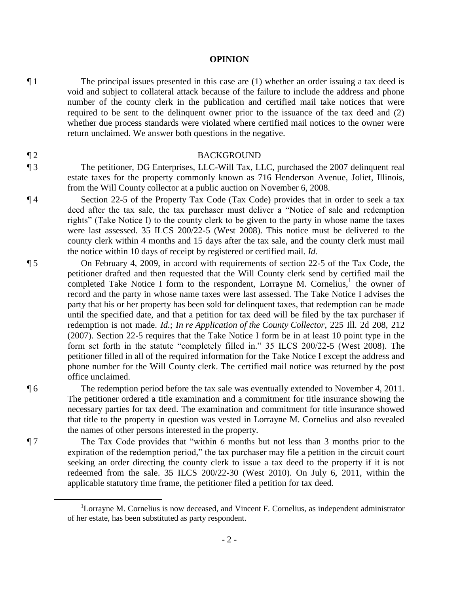#### **OPINION**

 $\P$  1 The principal issues presented in this case are (1) whether an order issuing a tax deed is void and subject to collateral attack because of the failure to include the address and phone number of the county clerk in the publication and certified mail take notices that were required to be sent to the delinquent owner prior to the issuance of the tax deed and (2) whether due process standards were violated where certified mail notices to the owner were return unclaimed. We answer both questions in the negative.

#### ¶ 2 BACKGROUND

¶ 3 The petitioner, DG Enterprises, LLC-Will Tax, LLC, purchased the 2007 delinquent real estate taxes for the property commonly known as 716 Henderson Avenue, Joliet, Illinois, from the Will County collector at a public auction on November 6, 2008.

¶ 4 Section 22-5 of the Property Tax Code (Tax Code) provides that in order to seek a tax deed after the tax sale, the tax purchaser must deliver a "Notice of sale and redemption rights" (Take Notice I) to the county clerk to be given to the party in whose name the taxes were last assessed. 35 ILCS 200/22-5 (West 2008). This notice must be delivered to the county clerk within 4 months and 15 days after the tax sale, and the county clerk must mail the notice within 10 days of receipt by registered or certified mail. *Id.*

¶ 5 On February 4, 2009, in accord with requirements of section 22-5 of the Tax Code, the petitioner drafted and then requested that the Will County clerk send by certified mail the completed Take Notice I form to the respondent, Lorrayne M. Cornelius,<sup>1</sup> the owner of record and the party in whose name taxes were last assessed. The Take Notice I advises the party that his or her property has been sold for delinquent taxes, that redemption can be made until the specified date, and that a petition for tax deed will be filed by the tax purchaser if redemption is not made. *Id.*; *In re Application of the County Collector*, 225 Ill. 2d 208, 212 (2007). Section 22-5 requires that the Take Notice I form be in at least 10 point type in the form set forth in the statute "completely filled in." 35 ILCS 200/22-5 (West 2008). The petitioner filled in all of the required information for the Take Notice I except the address and phone number for the Will County clerk. The certified mail notice was returned by the post office unclaimed.

¶ 6 The redemption period before the tax sale was eventually extended to November 4, 2011. The petitioner ordered a title examination and a commitment for title insurance showing the necessary parties for tax deed. The examination and commitment for title insurance showed that title to the property in question was vested in Lorrayne M. Cornelius and also revealed the names of other persons interested in the property.

¶ 7 The Tax Code provides that "within 6 months but not less than 3 months prior to the expiration of the redemption period," the tax purchaser may file a petition in the circuit court seeking an order directing the county clerk to issue a tax deed to the property if it is not redeemed from the sale. 35 ILCS 200/22-30 (West 2010). On July 6, 2011, within the applicable statutory time frame, the petitioner filed a petition for tax deed.

 $\overline{a}$ 

<sup>1</sup>Lorrayne M. Cornelius is now deceased, and Vincent F. Cornelius, as independent administrator of her estate, has been substituted as party respondent.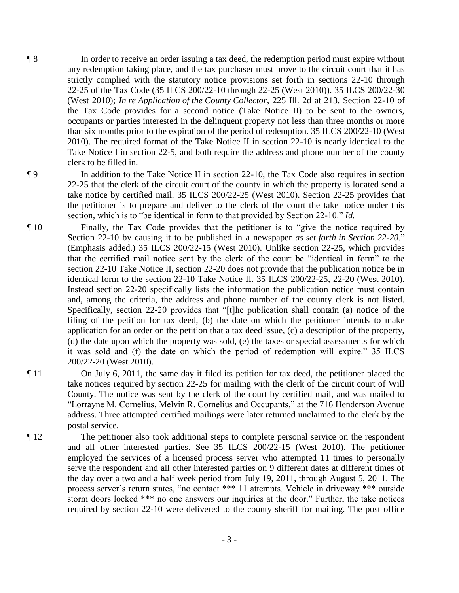¶ 8 In order to receive an order issuing a tax deed, the redemption period must expire without any redemption taking place, and the tax purchaser must prove to the circuit court that it has strictly complied with the statutory notice provisions set forth in sections 22-10 through 22-25 of the Tax Code (35 ILCS 200/22-10 through 22-25 (West 2010)). 35 ILCS 200/22-30 (West 2010); *In re Application of the County Collector*, 225 Ill. 2d at 213. Section 22-10 of the Tax Code provides for a second notice (Take Notice II) to be sent to the owners, occupants or parties interested in the delinquent property not less than three months or more than six months prior to the expiration of the period of redemption. 35 ILCS 200/22-10 (West 2010). The required format of the Take Notice II in section 22-10 is nearly identical to the Take Notice I in section 22-5, and both require the address and phone number of the county clerk to be filled in.

¶ 9 In addition to the Take Notice II in section 22-10, the Tax Code also requires in section 22-25 that the clerk of the circuit court of the county in which the property is located send a take notice by certified mail. 35 ILCS 200/22-25 (West 2010). Section 22-25 provides that the petitioner is to prepare and deliver to the clerk of the court the take notice under this section, which is to "be identical in form to that provided by Section 22-10." *Id.*

¶ 10 Finally, the Tax Code provides that the petitioner is to "give the notice required by Section 22-10 by causing it to be published in a newspaper *as set forth in Section 22-20*." (Emphasis added.) 35 ILCS 200/22-15 (West 2010). Unlike section 22-25, which provides that the certified mail notice sent by the clerk of the court be "identical in form" to the section 22-10 Take Notice II, section 22-20 does not provide that the publication notice be in identical form to the section 22-10 Take Notice II. 35 ILCS 200/22-25, 22-20 (West 2010). Instead section 22-20 specifically lists the information the publication notice must contain and, among the criteria, the address and phone number of the county clerk is not listed. Specifically, section 22-20 provides that "[t]he publication shall contain (a) notice of the filing of the petition for tax deed, (b) the date on which the petitioner intends to make application for an order on the petition that a tax deed issue, (c) a description of the property, (d) the date upon which the property was sold, (e) the taxes or special assessments for which it was sold and (f) the date on which the period of redemption will expire." 35 ILCS 200/22-20 (West 2010).

¶ 11 On July 6, 2011, the same day it filed its petition for tax deed, the petitioner placed the take notices required by section 22-25 for mailing with the clerk of the circuit court of Will County. The notice was sent by the clerk of the court by certified mail, and was mailed to "Lorrayne M. Cornelius, Melvin R. Cornelius and Occupants," at the 716 Henderson Avenue address. Three attempted certified mailings were later returned unclaimed to the clerk by the postal service.

¶ 12 The petitioner also took additional steps to complete personal service on the respondent and all other interested parties. See 35 ILCS 200/22-15 (West 2010). The petitioner employed the services of a licensed process server who attempted 11 times to personally serve the respondent and all other interested parties on 9 different dates at different times of the day over a two and a half week period from July 19, 2011, through August 5, 2011. The process server's return states, "no contact \*\*\* 11 attempts. Vehicle in driveway \*\*\* outside storm doors locked \*\*\* no one answers our inquiries at the door." Further, the take notices required by section 22-10 were delivered to the county sheriff for mailing. The post office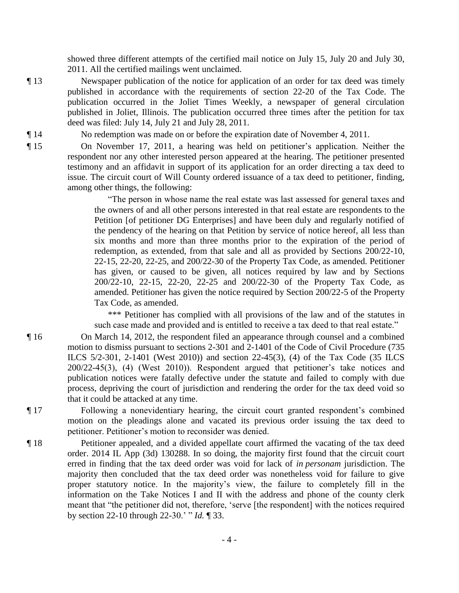showed three different attempts of the certified mail notice on July 15, July 20 and July 30, 2011. All the certified mailings went unclaimed.

¶ 13 Newspaper publication of the notice for application of an order for tax deed was timely published in accordance with the requirements of section 22-20 of the Tax Code. The publication occurred in the Joliet Times Weekly, a newspaper of general circulation published in Joliet, Illinois. The publication occurred three times after the petition for tax deed was filed: July 14, July 21 and July 28, 2011.

¶ 14 No redemption was made on or before the expiration date of November 4, 2011.

¶ 15 On November 17, 2011, a hearing was held on petitioner's application. Neither the respondent nor any other interested person appeared at the hearing. The petitioner presented testimony and an affidavit in support of its application for an order directing a tax deed to issue. The circuit court of Will County ordered issuance of a tax deed to petitioner, finding, among other things, the following:

> "The person in whose name the real estate was last assessed for general taxes and the owners of and all other persons interested in that real estate are respondents to the Petition [of petitioner DG Enterprises] and have been duly and regularly notified of the pendency of the hearing on that Petition by service of notice hereof, all less than six months and more than three months prior to the expiration of the period of redemption, as extended, from that sale and all as provided by Sections 200/22-10, 22-15, 22-20, 22-25, and 200/22-30 of the Property Tax Code, as amended. Petitioner has given, or caused to be given, all notices required by law and by Sections 200/22-10, 22-15, 22-20, 22-25 and 200/22-30 of the Property Tax Code, as amended. Petitioner has given the notice required by Section 200/22-5 of the Property Tax Code, as amended.

> \*\*\* Petitioner has complied with all provisions of the law and of the statutes in such case made and provided and is entitled to receive a tax deed to that real estate."

¶ 16 On March 14, 2012, the respondent filed an appearance through counsel and a combined motion to dismiss pursuant to sections 2-301 and 2-1401 of the Code of Civil Procedure (735 ILCS 5/2-301, 2-1401 (West 2010)) and section 22-45(3), (4) of the Tax Code (35 ILCS 200/22-45(3), (4) (West 2010)). Respondent argued that petitioner's take notices and publication notices were fatally defective under the statute and failed to comply with due process, depriving the court of jurisdiction and rendering the order for the tax deed void so that it could be attacked at any time.

¶ 17 Following a nonevidentiary hearing, the circuit court granted respondent's combined motion on the pleadings alone and vacated its previous order issuing the tax deed to petitioner. Petitioner's motion to reconsider was denied.

¶ 18 Petitioner appealed, and a divided appellate court affirmed the vacating of the tax deed order. 2014 IL App (3d) 130288. In so doing, the majority first found that the circuit court erred in finding that the tax deed order was void for lack of *in personam* jurisdiction. The majority then concluded that the tax deed order was nonetheless void for failure to give proper statutory notice. In the majority's view, the failure to completely fill in the information on the Take Notices I and II with the address and phone of the county clerk meant that "the petitioner did not, therefore, 'serve [the respondent] with the notices required by section 22-10 through 22-30.' " *Id.* ¶ 33.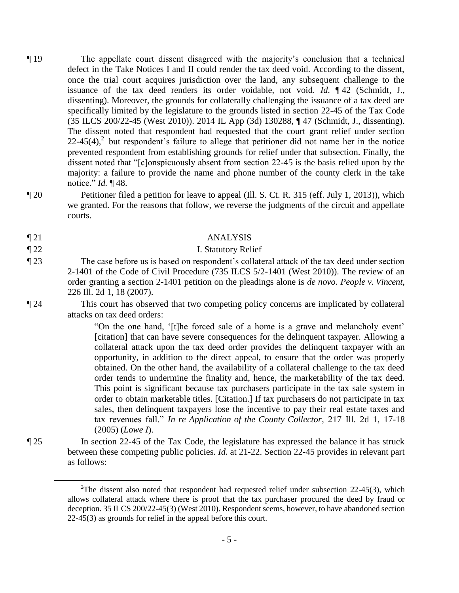- ¶ 19 The appellate court dissent disagreed with the majority's conclusion that a technical defect in the Take Notices I and II could render the tax deed void. According to the dissent, once the trial court acquires jurisdiction over the land, any subsequent challenge to the issuance of the tax deed renders its order voidable, not void. *Id.* ¶ 42 (Schmidt, J., dissenting). Moreover, the grounds for collaterally challenging the issuance of a tax deed are specifically limited by the legislature to the grounds listed in section 22-45 of the Tax Code (35 ILCS 200/22-45 (West 2010)). 2014 IL App (3d) 130288, ¶ 47 (Schmidt, J., dissenting). The dissent noted that respondent had requested that the court grant relief under section  $22-45(4)$ ,<sup>2</sup> but respondent's failure to allege that petitioner did not name her in the notice prevented respondent from establishing grounds for relief under that subsection. Finally, the dissent noted that "[c]onspicuously absent from section 22-45 is the basis relied upon by the majority: a failure to provide the name and phone number of the county clerk in the take notice." *Id.* ¶ 48.
- ¶ 20 Petitioner filed a petition for leave to appeal (Ill. S. Ct. R. 315 (eff. July 1, 2013)), which we granted. For the reasons that follow, we reverse the judgments of the circuit and appellate courts.
- 

 $\overline{a}$ 

## ¶ 21 ANALYSIS

# ¶ 22 I. Statutory Relief

¶ 23 The case before us is based on respondent's collateral attack of the tax deed under section 2-1401 of the Code of Civil Procedure (735 ILCS 5/2-1401 (West 2010)). The review of an order granting a section 2-1401 petition on the pleadings alone is *de novo*. *People v. Vincent*, 226 Ill. 2d 1, 18 (2007).

¶ 24 This court has observed that two competing policy concerns are implicated by collateral attacks on tax deed orders:

> "On the one hand, '[t]he forced sale of a home is a grave and melancholy event' [citation] that can have severe consequences for the delinquent taxpayer. Allowing a collateral attack upon the tax deed order provides the delinquent taxpayer with an opportunity, in addition to the direct appeal, to ensure that the order was properly obtained. On the other hand, the availability of a collateral challenge to the tax deed order tends to undermine the finality and, hence, the marketability of the tax deed. This point is significant because tax purchasers participate in the tax sale system in order to obtain marketable titles. [Citation.] If tax purchasers do not participate in tax sales, then delinquent taxpayers lose the incentive to pay their real estate taxes and tax revenues fall." *In re Application of the County Collector*, 217 Ill. 2d 1, 17-18 (2005) (*Lowe I*).

¶ 25 In section 22-45 of the Tax Code, the legislature has expressed the balance it has struck between these competing public policies. *Id.* at 21-22. Section 22-45 provides in relevant part as follows:

<sup>&</sup>lt;sup>2</sup>The dissent also noted that respondent had requested relief under subsection  $22-45(3)$ , which allows collateral attack where there is proof that the tax purchaser procured the deed by fraud or deception. 35 ILCS 200/22-45(3) (West 2010). Respondent seems, however, to have abandoned section 22-45(3) as grounds for relief in the appeal before this court.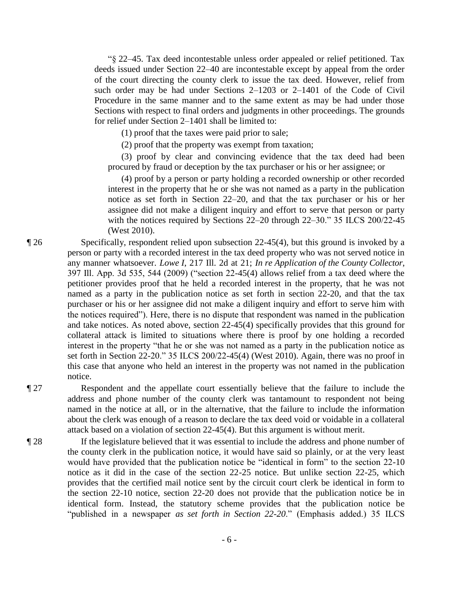"§ 22–45. Tax deed incontestable unless order appealed or relief petitioned. Tax deeds issued under Section 22–40 are incontestable except by appeal from the order of the court directing the county clerk to issue the tax deed. However, relief from such order may be had under Sections 2–1203 or 2–1401 of the Code of Civil Procedure in the same manner and to the same extent as may be had under those Sections with respect to final orders and judgments in other proceedings. The grounds for relief under Section 2–1401 shall be limited to:

(1) proof that the taxes were paid prior to sale;

(2) proof that the property was exempt from taxation;

 (3) proof by clear and convincing evidence that the tax deed had been procured by fraud or deception by the tax purchaser or his or her assignee; or

 (4) proof by a person or party holding a recorded ownership or other recorded interest in the property that he or she was not named as a party in the publication notice as set forth in Section 22–20, and that the tax purchaser or his or her assignee did not make a diligent inquiry and effort to serve that person or party with the notices required by Sections 22–20 through 22–30." 35 ILCS 200/22-45 (West 2010).

¶ 26 Specifically, respondent relied upon subsection 22-45(4), but this ground is invoked by a person or party with a recorded interest in the tax deed property who was not served notice in any manner whatsoever. *Lowe I*, 217 Ill. 2d at 21; *In re Application of the County Collector*, 397 Ill. App. 3d 535, 544 (2009) ("section 22-45(4) allows relief from a tax deed where the petitioner provides proof that he held a recorded interest in the property, that he was not named as a party in the publication notice as set forth in section 22-20, and that the tax purchaser or his or her assignee did not make a diligent inquiry and effort to serve him with the notices required"). Here, there is no dispute that respondent was named in the publication and take notices. As noted above, section 22-45(4) specifically provides that this ground for collateral attack is limited to situations where there is proof by one holding a recorded interest in the property "that he or she was not named as a party in the publication notice as set forth in Section 22-20." 35 ILCS 200/22-45(4) (West 2010). Again, there was no proof in this case that anyone who held an interest in the property was not named in the publication notice.

¶ 27 Respondent and the appellate court essentially believe that the failure to include the address and phone number of the county clerk was tantamount to respondent not being named in the notice at all, or in the alternative, that the failure to include the information about the clerk was enough of a reason to declare the tax deed void or voidable in a collateral attack based on a violation of section 22-45(4). But this argument is without merit.

¶ 28 If the legislature believed that it was essential to include the address and phone number of the county clerk in the publication notice, it would have said so plainly, or at the very least would have provided that the publication notice be "identical in form" to the section 22-10 notice as it did in the case of the section 22-25 notice. But unlike section 22-25, which provides that the certified mail notice sent by the circuit court clerk be identical in form to the section 22-10 notice, section 22-20 does not provide that the publication notice be in identical form. Instead, the statutory scheme provides that the publication notice be "published in a newspaper *as set forth in Section 22-20*." (Emphasis added.) 35 ILCS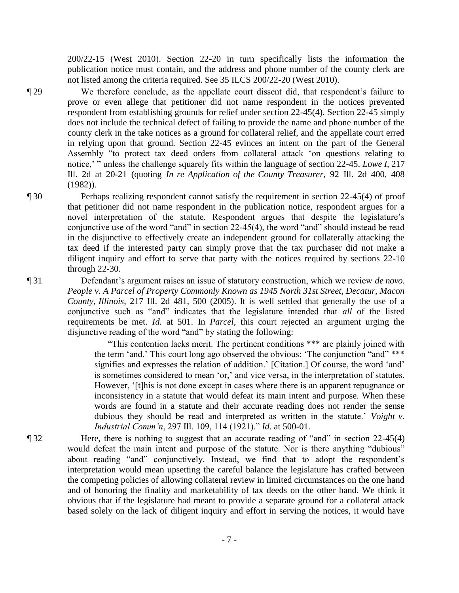200/22-15 (West 2010). Section 22-20 in turn specifically lists the information the publication notice must contain, and the address and phone number of the county clerk are not listed among the criteria required. See 35 ILCS 200/22-20 (West 2010).

¶ 29 We therefore conclude, as the appellate court dissent did, that respondent's failure to prove or even allege that petitioner did not name respondent in the notices prevented respondent from establishing grounds for relief under section 22-45(4). Section 22-45 simply does not include the technical defect of failing to provide the name and phone number of the county clerk in the take notices as a ground for collateral relief, and the appellate court erred in relying upon that ground. Section 22-45 evinces an intent on the part of the General Assembly "to protect tax deed orders from collateral attack 'on questions relating to notice,' " unless the challenge squarely fits within the language of section 22-45. *Lowe I*, 217 Ill. 2d at 20-21 (quoting *In re Application of the County Treasurer*, 92 Ill. 2d 400, 408 (1982)).

¶ 30 Perhaps realizing respondent cannot satisfy the requirement in section 22-45(4) of proof that petitioner did not name respondent in the publication notice, respondent argues for a novel interpretation of the statute. Respondent argues that despite the legislature's conjunctive use of the word "and" in section 22-45(4), the word "and" should instead be read in the disjunctive to effectively create an independent ground for collaterally attacking the tax deed if the interested party can simply prove that the tax purchaser did not make a diligent inquiry and effort to serve that party with the notices required by sections 22-10 through 22-30.

¶ 31 Defendant's argument raises an issue of statutory construction, which we review *de novo*. *People v. A Parcel of Property Commonly Known as 1945 North 31st Street, Decatur, Macon County, Illinois*, 217 Ill. 2d 481, 500 (2005). It is well settled that generally the use of a conjunctive such as "and" indicates that the legislature intended that *all* of the listed requirements be met. *Id.* at 501. In *Parcel*, this court rejected an argument urging the disjunctive reading of the word "and" by stating the following:

> "This contention lacks merit. The pertinent conditions \*\*\* are plainly joined with the term 'and.' This court long ago observed the obvious: 'The conjunction "and" \*\*\* signifies and expresses the relation of addition.' [Citation.] Of course, the word 'and' is sometimes considered to mean 'or,' and vice versa, in the interpretation of statutes. However, '[t]his is not done except in cases where there is an apparent repugnance or inconsistency in a statute that would defeat its main intent and purpose. When these words are found in a statute and their accurate reading does not render the sense dubious they should be read and interpreted as written in the statute.' *Voight v. Industrial Comm'n*, 297 Ill. 109, 114 (1921)." *Id.* at 500-01.

¶ 32 Here, there is nothing to suggest that an accurate reading of "and" in section 22-45(4) would defeat the main intent and purpose of the statute. Nor is there anything "dubious" about reading "and" conjunctively. Instead, we find that to adopt the respondent's interpretation would mean upsetting the careful balance the legislature has crafted between the competing policies of allowing collateral review in limited circumstances on the one hand and of honoring the finality and marketability of tax deeds on the other hand. We think it obvious that if the legislature had meant to provide a separate ground for a collateral attack based solely on the lack of diligent inquiry and effort in serving the notices, it would have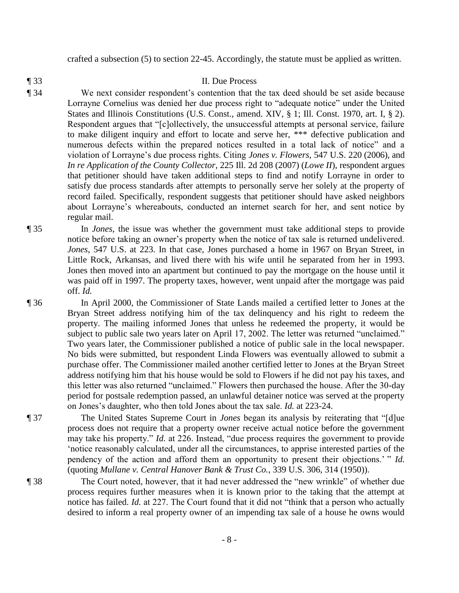crafted a subsection (5) to section 22-45. Accordingly, the statute must be applied as written.

¶ 33 II. Due Process

- ¶ 34 We next consider respondent's contention that the tax deed should be set aside because Lorrayne Cornelius was denied her due process right to "adequate notice" under the United States and Illinois Constitutions (U.S. Const., amend. XIV, § 1; Ill. Const. 1970, art. I, § 2). Respondent argues that "[c]ollectively, the unsuccessful attempts at personal service, failure to make diligent inquiry and effort to locate and serve her, \*\*\* defective publication and numerous defects within the prepared notices resulted in a total lack of notice" and a violation of Lorrayne's due process rights. Citing *Jones v. Flowers*, 547 U.S. 220 (2006), and *In re Application of the County Collector*, 225 Ill. 2d 208 (2007) (*Lowe II*), respondent argues that petitioner should have taken additional steps to find and notify Lorrayne in order to satisfy due process standards after attempts to personally serve her solely at the property of record failed. Specifically, respondent suggests that petitioner should have asked neighbors about Lorrayne's whereabouts, conducted an internet search for her, and sent notice by regular mail.
- ¶ 35 In *Jones*, the issue was whether the government must take additional steps to provide notice before taking an owner's property when the notice of tax sale is returned undelivered. *Jones*, 547 U.S. at 223. In that case, Jones purchased a home in 1967 on Bryan Street, in Little Rock, Arkansas, and lived there with his wife until he separated from her in 1993. Jones then moved into an apartment but continued to pay the mortgage on the house until it was paid off in 1997. The property taxes, however, went unpaid after the mortgage was paid off. *Id.*

¶ 36 In April 2000, the Commissioner of State Lands mailed a certified letter to Jones at the Bryan Street address notifying him of the tax delinquency and his right to redeem the property. The mailing informed Jones that unless he redeemed the property, it would be subject to public sale two years later on April 17, 2002. The letter was returned "unclaimed." Two years later, the Commissioner published a notice of public sale in the local newspaper. No bids were submitted, but respondent Linda Flowers was eventually allowed to submit a purchase offer. The Commissioner mailed another certified letter to Jones at the Bryan Street address notifying him that his house would be sold to Flowers if he did not pay his taxes, and this letter was also returned "unclaimed." Flowers then purchased the house. After the 30-day period for postsale redemption passed, an unlawful detainer notice was served at the property on Jones's daughter, who then told Jones about the tax sale. *Id.* at 223-24.

- ¶ 37 The United States Supreme Court in *Jones* began its analysis by reiterating that "[d]ue process does not require that a property owner receive actual notice before the government may take his property." *Id.* at 226. Instead, "due process requires the government to provide 'notice reasonably calculated, under all the circumstances, to apprise interested parties of the pendency of the action and afford them an opportunity to present their objections.' " *Id.* (quoting *Mullane v. Central Hanover Bank & Trust Co.*, 339 U.S. 306, 314 (1950)).
- ¶ 38 The Court noted, however, that it had never addressed the "new wrinkle" of whether due process requires further measures when it is known prior to the taking that the attempt at notice has failed. *Id.* at 227. The Court found that it did not "think that a person who actually desired to inform a real property owner of an impending tax sale of a house he owns would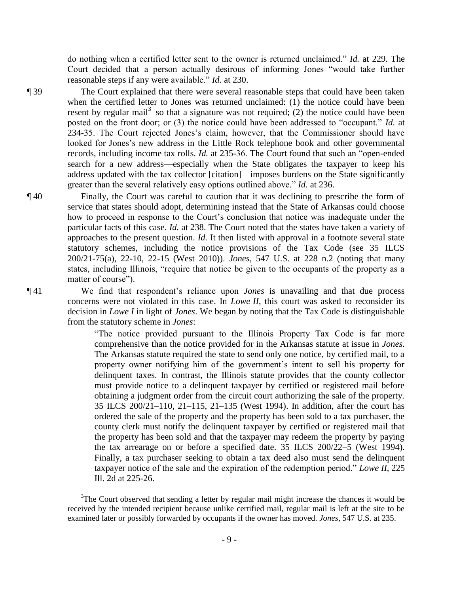do nothing when a certified letter sent to the owner is returned unclaimed." *Id.* at 229. The Court decided that a person actually desirous of informing Jones "would take further reasonable steps if any were available." *Id.* at 230.

 $\overline{a}$ 

¶ 39 The Court explained that there were several reasonable steps that could have been taken when the certified letter to Jones was returned unclaimed: (1) the notice could have been resent by regular mail<sup>3</sup> so that a signature was not required; (2) the notice could have been posted on the front door; or (3) the notice could have been addressed to "occupant." *Id.* at 234-35. The Court rejected Jones's claim, however, that the Commissioner should have looked for Jones's new address in the Little Rock telephone book and other governmental records, including income tax rolls. *Id.* at 235-36. The Court found that such an "open-ended search for a new address—especially when the State obligates the taxpayer to keep his address updated with the tax collector [citation]—imposes burdens on the State significantly greater than the several relatively easy options outlined above." *Id.* at 236.

¶ 40 Finally, the Court was careful to caution that it was declining to prescribe the form of service that states should adopt, determining instead that the State of Arkansas could choose how to proceed in response to the Court's conclusion that notice was inadequate under the particular facts of this case. *Id.* at 238. The Court noted that the states have taken a variety of approaches to the present question. *Id.* It then listed with approval in a footnote several state statutory schemes, including the notice provisions of the Tax Code (see 35 ILCS 200/21-75(a), 22-10, 22-15 (West 2010)). *Jones*, 547 U.S. at 228 n.2 (noting that many states, including Illinois, "require that notice be given to the occupants of the property as a matter of course").

¶ 41 We find that respondent's reliance upon *Jones* is unavailing and that due process concerns were not violated in this case. In *Lowe II*, this court was asked to reconsider its decision in *Lowe I* in light of *Jones*. We began by noting that the Tax Code is distinguishable from the statutory scheme in *Jones*:

> "The notice provided pursuant to the Illinois Property Tax Code is far more comprehensive than the notice provided for in the Arkansas statute at issue in *Jones*. The Arkansas statute required the state to send only one notice, by certified mail, to a property owner notifying him of the government's intent to sell his property for delinquent taxes. In contrast, the Illinois statute provides that the county collector must provide notice to a delinquent taxpayer by certified or registered mail before obtaining a judgment order from the circuit court authorizing the sale of the property. 35 ILCS 200/21–110, 21–115, 21–135 (West 1994). In addition, after the court has ordered the sale of the property and the property has been sold to a tax purchaser, the county clerk must notify the delinquent taxpayer by certified or registered mail that the property has been sold and that the taxpayer may redeem the property by paying the tax arrearage on or before a specified date. 35 ILCS 200/22–5 (West 1994). Finally, a tax purchaser seeking to obtain a tax deed also must send the delinquent taxpayer notice of the sale and the expiration of the redemption period." *Lowe II*, 225 Ill. 2d at 225-26.

 $3$ The Court observed that sending a letter by regular mail might increase the chances it would be received by the intended recipient because unlike certified mail, regular mail is left at the site to be examined later or possibly forwarded by occupants if the owner has moved. *Jones*, 547 U.S. at 235.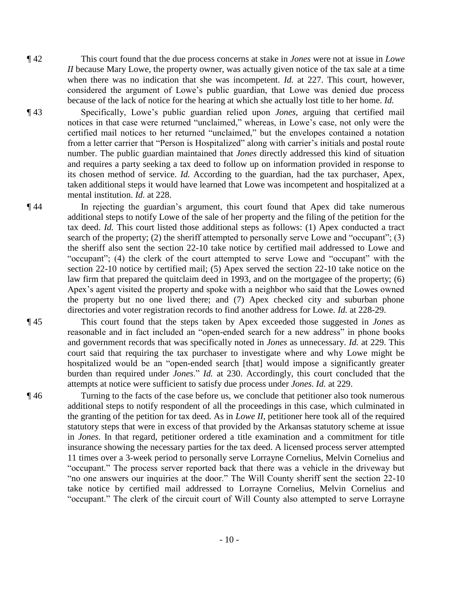¶ 42 This court found that the due process concerns at stake in *Jones* were not at issue in *Lowe II* because Mary Lowe, the property owner, was actually given notice of the tax sale at a time when there was no indication that she was incompetent. *Id.* at 227. This court, however, considered the argument of Lowe's public guardian, that Lowe was denied due process because of the lack of notice for the hearing at which she actually lost title to her home. *Id.*

¶ 43 Specifically, Lowe's public guardian relied upon *Jones*, arguing that certified mail notices in that case were returned "unclaimed," whereas, in Lowe's case, not only were the certified mail notices to her returned "unclaimed," but the envelopes contained a notation from a letter carrier that "Person is Hospitalized" along with carrier's initials and postal route number. The public guardian maintained that *Jones* directly addressed this kind of situation and requires a party seeking a tax deed to follow up on information provided in response to its chosen method of service. *Id.* According to the guardian, had the tax purchaser, Apex, taken additional steps it would have learned that Lowe was incompetent and hospitalized at a mental institution. *Id.* at 228.

¶ 44 In rejecting the guardian's argument, this court found that Apex did take numerous additional steps to notify Lowe of the sale of her property and the filing of the petition for the tax deed. *Id.* This court listed those additional steps as follows: (1) Apex conducted a tract search of the property; (2) the sheriff attempted to personally serve Lowe and "occupant"; (3) the sheriff also sent the section 22-10 take notice by certified mail addressed to Lowe and "occupant"; (4) the clerk of the court attempted to serve Lowe and "occupant" with the section 22-10 notice by certified mail; (5) Apex served the section 22-10 take notice on the law firm that prepared the quitclaim deed in 1993, and on the mortgagee of the property; (6) Apex's agent visited the property and spoke with a neighbor who said that the Lowes owned the property but no one lived there; and (7) Apex checked city and suburban phone directories and voter registration records to find another address for Lowe. *Id.* at 228-29.

¶ 45 This court found that the steps taken by Apex exceeded those suggested in *Jones* as reasonable and in fact included an "open-ended search for a new address" in phone books and government records that was specifically noted in *Jones* as unnecessary. *Id.* at 229. This court said that requiring the tax purchaser to investigate where and why Lowe might be hospitalized would be an "open-ended search [that] would impose a significantly greater burden than required under *Jones*." *Id.* at 230. Accordingly, this court concluded that the attempts at notice were sufficient to satisfy due process under *Jones*. *Id.* at 229.

¶ 46 Turning to the facts of the case before us, we conclude that petitioner also took numerous additional steps to notify respondent of all the proceedings in this case, which culminated in the granting of the petition for tax deed. As in *Lowe II*, petitioner here took all of the required statutory steps that were in excess of that provided by the Arkansas statutory scheme at issue in *Jones*. In that regard, petitioner ordered a title examination and a commitment for title insurance showing the necessary parties for the tax deed. A licensed process server attempted 11 times over a 3-week period to personally serve Lorrayne Cornelius, Melvin Cornelius and "occupant." The process server reported back that there was a vehicle in the driveway but "no one answers our inquiries at the door." The Will County sheriff sent the section 22-10 take notice by certified mail addressed to Lorrayne Cornelius, Melvin Cornelius and "occupant." The clerk of the circuit court of Will County also attempted to serve Lorrayne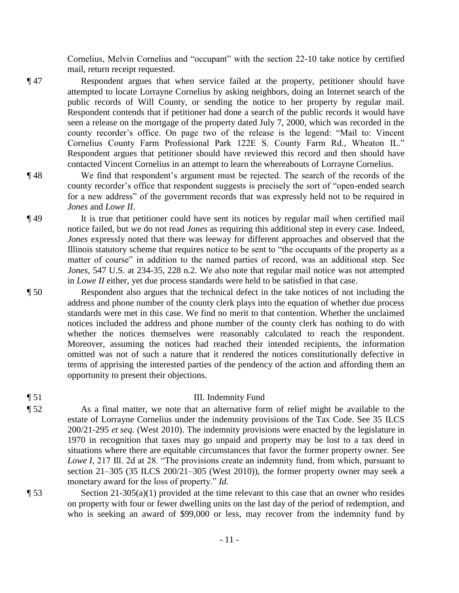Cornelius, Melvin Cornelius and "occupant" with the section 22-10 take notice by certified mail, return receipt requested.

- ¶ 47 Respondent argues that when service failed at the property, petitioner should have attempted to locate Lorrayne Cornelius by asking neighbors, doing an Internet search of the public records of Will County, or sending the notice to her property by regular mail. Respondent contends that if petitioner had done a search of the public records it would have seen a release on the mortgage of the property dated July 7, 2000, which was recorded in the county recorder's office. On page two of the release is the legend: "Mail to: Vincent Cornelius County Farm Professional Park 122E S. County Farm Rd., Wheaton IL." Respondent argues that petitioner should have reviewed this record and then should have contacted Vincent Cornelius in an attempt to learn the whereabouts of Lorrayne Cornelius.
- ¶ 48 We find that respondent's argument must be rejected. The search of the records of the county recorder's office that respondent suggests is precisely the sort of "open-ended search for a new address" of the government records that was expressly held not to be required in *Jones* and *Lowe II*.
- ¶ 49 It is true that petitioner could have sent its notices by regular mail when certified mail notice failed, but we do not read *Jones* as requiring this additional step in every case. Indeed, *Jones* expressly noted that there was leeway for different approaches and observed that the Illinois statutory scheme that requires notice to be sent to "the occupants of the property as a matter of course" in addition to the named parties of record, was an additional step. See *Jones*, 547 U.S. at 234-35, 228 n.2. We also note that regular mail notice was not attempted in *Lowe II* either, yet due process standards were held to be satisfied in that case.
- ¶ 50 Respondent also argues that the technical defect in the take notices of not including the address and phone number of the county clerk plays into the equation of whether due process standards were met in this case. We find no merit to that contention. Whether the unclaimed notices included the address and phone number of the county clerk has nothing to do with whether the notices themselves were reasonably calculated to reach the respondent. Moreover, assuming the notices had reached their intended recipients, the information omitted was not of such a nature that it rendered the notices constitutionally defective in terms of apprising the interested parties of the pendency of the action and affording them an opportunity to present their objections.

# ¶ 51 III. Indemnity Fund

¶ 52 As a final matter, we note that an alternative form of relief might be available to the estate of Lorrayne Cornelius under the indemnity provisions of the Tax Code. See 35 ILCS 200/21-295 *et seq.* (West 2010). The indemnity provisions were enacted by the legislature in 1970 in recognition that taxes may go unpaid and property may be lost to a tax deed in situations where there are equitable circumstances that favor the former property owner. See *Lowe I*, 217 Ill. 2d at 28. "The provisions create an indemnity fund, from which, pursuant to section 21–305 (35 ILCS 200/21–305 (West 2010)), the former property owner may seek a monetary award for the loss of property." *Id.*

 $\sim$  Section 21-305(a)(1) provided at the time relevant to this case that an owner who resides on property with four or fewer dwelling units on the last day of the period of redemption, and who is seeking an award of \$99,000 or less, may recover from the indemnity fund by